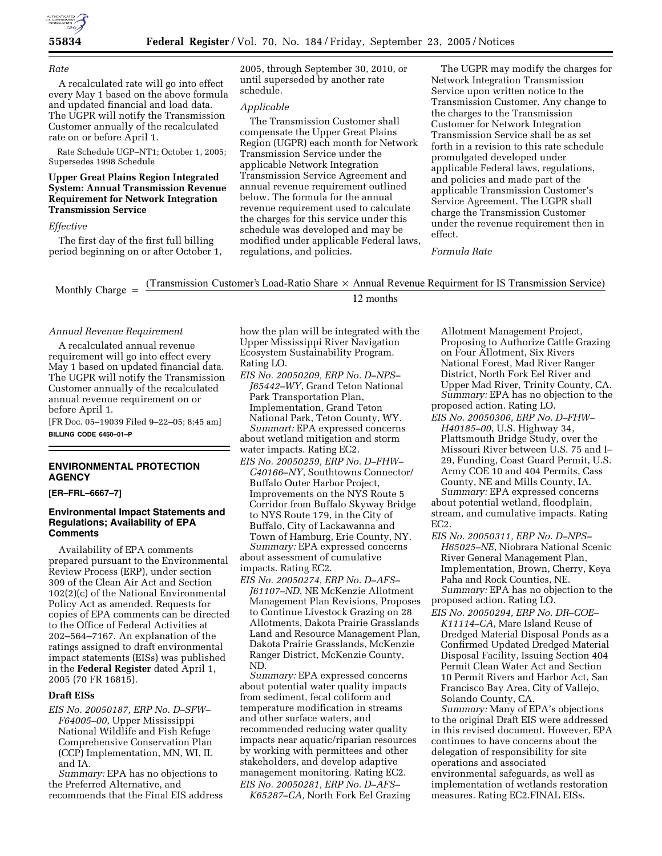

#### *Rate*

A recalculated rate will go into effect every May 1 based on the above formula and updated financial and load data. The UGPR will notify the Transmission Customer annually of the recalculated rate on or before April 1.

Rate Schedule UGP–NT1; October 1, 2005; Supersedes 1998 Schedule

# **Upper Great Plains Region Integrated System: Annual Transmission Revenue Requirement for Network Integration Transmission Service**

#### *Effective*

The first day of the first full billing period beginning on or after October 1, 2005, through September 30, 2010, or until superseded by another rate schedule.

### *Applicable*

The Transmission Customer shall compensate the Upper Great Plains Region (UGPR) each month for Network Transmission Service under the applicable Network Integration Transmission Service Agreement and annual revenue requirement outlined below. The formula for the annual revenue requirement used to calculate the charges for this service under this schedule was developed and may be modified under applicable Federal laws, regulations, and policies.

The UGPR may modify the charges for Network Integration Transmission Service upon written notice to the Transmission Customer. Any change to the charges to the Transmission Customer for Network Integration Transmission Service shall be as set forth in a revision to this rate schedule promulgated developed under applicable Federal laws, regulations, and policies and made part of the applicable Transmission Customer's Service Agreement. The UGPR shall charge the Transmission Customer under the revenue requirement then in effect.

### *Formula Rate*

Monthly Charge  $=$  (Transmission Customer's Load-Ratio Share  $\times$  Annual Revenue Requirment for IS Transmission Service)

# 12 months

### *Annual Revenue Requirement*

A recalculated annual revenue requirement will go into effect every May 1 based on updated financial data. The UGPR will notify the Transmission Customer annually of the recalculated annual revenue requirement on or before April 1.

[FR Doc. 05–19039 Filed 9–22–05; 8:45 am] **BILLING CODE 6450–01–P** 

# **ENVIRONMENTAL PROTECTION AGENCY**

### **[ER–FRL–6667–7]**

## **Environmental Impact Statements and Regulations; Availability of EPA Comments**

Availability of EPA comments prepared pursuant to the Environmental Review Process (ERP), under section 309 of the Clean Air Act and Section 102(2)(c) of the National Environmental Policy Act as amended. Requests for copies of EPA comments can be directed to the Office of Federal Activities at 202–564–7167. An explanation of the ratings assigned to draft environmental impact statements (EISs) was published in the **Federal Register** dated April 1, 2005 (70 FR 16815).

# **Draft EISs**

*EIS No. 20050187, ERP No. D–SFW– F64005–00*, Upper Mississippi National Wildlife and Fish Refuge Comprehensive Conservation Plan (CCP) Implementation, MN, WI, IL and IA.

*Summary:* EPA has no objections to the Preferred Alternative, and recommends that the Final EIS address how the plan will be integrated with the Upper Mississippi River Navigation Ecosystem Sustainability Program. Rating LO.

*EIS No. 20050209, ERP No. D–NPS– J65442–WY*, Grand Teton National Park Transportation Plan, Implementation, Grand Teton National Park, Teton County, WY. *Summart:* EPA expressed concerns

about wetland mitigation and storm water impacts. Rating EC2.

*EIS No. 20050259, ERP No. D–FHW– C40166–NY*, Southtowns Connector/ Buffalo Outer Harbor Project, Improvements on the NYS Route 5 Corridor from Buffalo Skyway Bridge to NYS Route 179, in the City of Buffalo, City of Lackawanna and Town of Hamburg, Erie County, NY. *Summary:* EPA expressed concerns

about assessment of cumulative impacts. Rating EC2.

*EIS No. 20050274, ERP No. D–AFS– J61107–ND*, NE McKenzie Allotment Management Plan Revisions, Proposes to Continue Livestock Grazing on 28 Allotments, Dakota Prairie Grasslands Land and Resource Management Plan, Dakota Prairie Grasslands, McKenzie Ranger District, McKenzie County, ND.

*Summary:* EPA expressed concerns about potential water quality impacts from sediment, fecal coliform and temperature modification in streams and other surface waters, and recommended reducing water quality impacts near aquatic/riparian resources by working with permittees and other stakeholders, and develop adaptive management monitoring. Rating EC2. *EIS No. 20050281, ERP No. D–AFS–*

*K65287–CA,* North Fork Eel Grazing

Allotment Management Project, Proposing to Authorize Cattle Grazing on Four Allotment, Six Rivers National Forest, Mad River Ranger District, North Fork Eel River and Upper Mad River, Trinity County, CA. *Summary:* EPA has no objection to the proposed action. Rating LO.

*EIS No. 20050306, ERP No. D–FHW– H40185–00*, U.S. Highway 34, Plattsmouth Bridge Study, over the Missouri River between U.S. 75 and I– 29, Funding, Coast Guard Permit, U.S. Army COE 10 and 404 Permits, Cass County, NE and Mills County, IA.

*Summary:* EPA expressed concerns about potential wetland, floodplain, stream, and cumulative impacts. Rating EC2.

*EIS No. 20050311, ERP No. D–NPS– H65025–NE*, Niobrara National Scenic River General Management Plan, Implementation, Brown, Cherry, Keya Paha and Rock Counties, NE. *Summary:* EPA has no objection to the

proposed action. Rating LO.

*EIS No. 20050294, ERP No. DR–COE– K11114–CA*, Mare Island Reuse of Dredged Material Disposal Ponds as a Confirmed Updated Dredged Material Disposal Facility, Issuing Section 404 Permit Clean Water Act and Section 10 Permit Rivers and Harbor Act, San Francisco Bay Area, City of Vallejo, Solando County, CA.

*Summary:* Many of EPA's objections to the original Draft EIS were addressed in this revised document. However, EPA continues to have concerns about the delegation of responsibility for site operations and associated environmental safeguards, as well as implementation of wetlands restoration measures. Rating EC2.FINAL EISs.